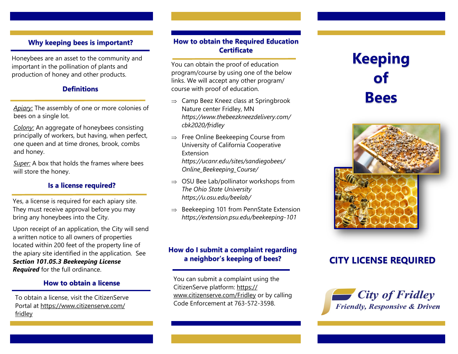# **Why keeping bees is important?**

Honeybees are an asset to the community and important in the pollination of plants and production of honey and other products.

### **Definitions**

*Apiary:* The assembly of one or more colonies of bees on a single lot.

*Colony:* An aggregate of honeybees consisting principally of workers, but having, when perfect, one queen and at time drones, brook, combs and honey.

*Super:* A box that holds the frames where bees will store the honey.

### **Is a license required?**

Yes, a license is required for each apiary site. They must receive approval before you may bring any honeybees into the City.

Upon receipt of an application, the City will send a written notice to all owners of properties located within 200 feet of the property line of the apiary site identified in the application. See *Section 101.05.3 Beekeeping License Required* for the full ordinance.

### **How to obtain a license**

To obtain a license, visit the CitizenServe Portal at https://www.citizenserve.com/ fridley

# **How to obtain the Required Education Certificate**

You can obtain the proof of education program/course by using one of the below links. We will accept any other program/ course with proof of education.

- $\Rightarrow$  Camp Beez Kneez class at Springbrook Nature center Fridley, MN *[https://www.thebeezkneezdelivery.com/](https://www.thebeezkneezdelivery.com/cbk2020/fridley) [cbk2020/fridley](https://www.thebeezkneezdelivery.com/cbk2020/fridley)*
- $\Rightarrow$  Free Online Beekeeping Course from University of California Cooperative Extension *[https://ucanr.edu/sites/sandiegobees/](https://ucanr.edu/sites/sandiegobees/Online_Beekeeping_Course/) [Online\\_Beekeeping\\_Course/](https://ucanr.edu/sites/sandiegobees/Online_Beekeeping_Course/)*
- $\Rightarrow$  OSU Bee Lab/pollinator workshops from *The Ohio State University <https://u.osu.edu/beelab/>*
- $\Rightarrow$  Beekeeping 101 from PennState Extension *[https://extension.psu.edu/beekeeping](https://extension.psu.edu/beekeeping-101)-101*

# **How do I submit a complaint regarding a neighbor's keeping of bees?**

You can submit a complaint using the CitizenServe platform: https:// www.citizenserve.com/Fridley or by calling Code Enforcement at 763-572-3598.

# **Keeping of Bees**



# **CITY LICENSE REQUIRED**